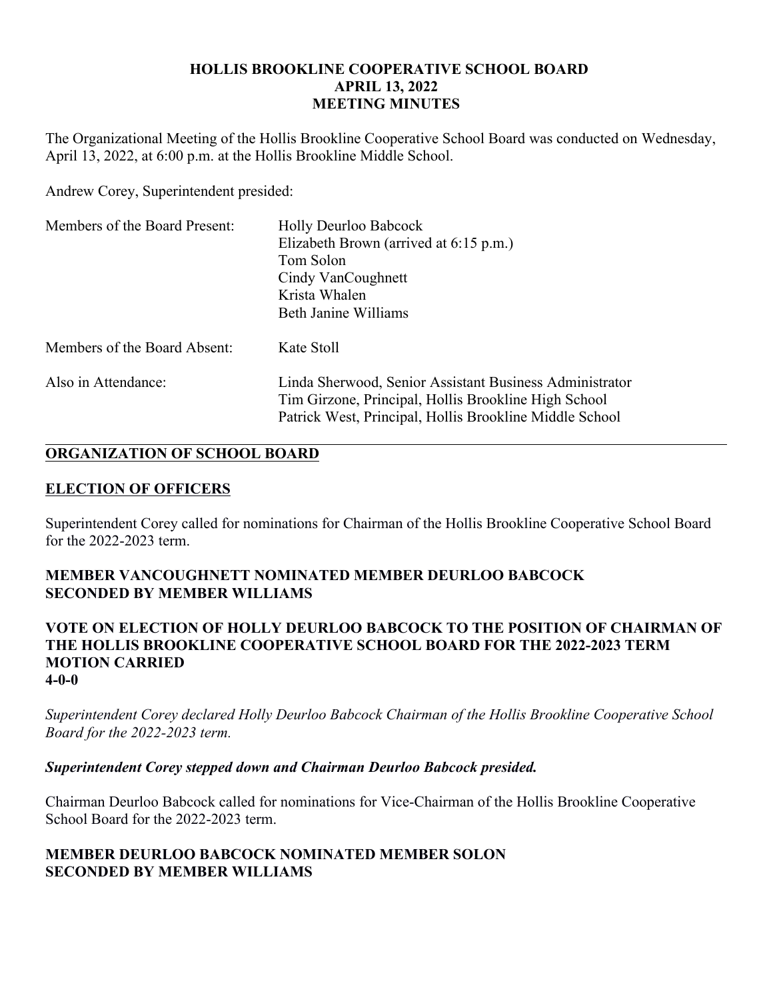### **HOLLIS BROOKLINE COOPERATIVE SCHOOL BOARD APRIL 13, 2022 MEETING MINUTES**

The Organizational Meeting of the Hollis Brookline Cooperative School Board was conducted on Wednesday, April 13, 2022, at 6:00 p.m. at the Hollis Brookline Middle School.

Andrew Corey, Superintendent presided:

| Members of the Board Present: | <b>Holly Deurloo Babcock</b><br>Elizabeth Brown (arrived at 6:15 p.m.)<br>Tom Solon<br>Cindy VanCoughnett<br>Krista Whalen<br>Beth Janine Williams                         |
|-------------------------------|----------------------------------------------------------------------------------------------------------------------------------------------------------------------------|
| Members of the Board Absent:  | Kate Stoll                                                                                                                                                                 |
| Also in Attendance:           | Linda Sherwood, Senior Assistant Business Administrator<br>Tim Girzone, Principal, Hollis Brookline High School<br>Patrick West, Principal, Hollis Brookline Middle School |

# **ORGANIZATION OF SCHOOL BOARD**

# **ELECTION OF OFFICERS**

Superintendent Corey called for nominations for Chairman of the Hollis Brookline Cooperative School Board for the 2022-2023 term.

# **MEMBER VANCOUGHNETT NOMINATED MEMBER DEURLOO BABCOCK SECONDED BY MEMBER WILLIAMS**

#### **VOTE ON ELECTION OF HOLLY DEURLOO BABCOCK TO THE POSITION OF CHAIRMAN OF THE HOLLIS BROOKLINE COOPERATIVE SCHOOL BOARD FOR THE 2022-2023 TERM MOTION CARRIED 4-0-0**

*Superintendent Corey declared Holly Deurloo Babcock Chairman of the Hollis Brookline Cooperative School Board for the 2022-2023 term.*

# *Superintendent Corey stepped down and Chairman Deurloo Babcock presided.*

Chairman Deurloo Babcock called for nominations for Vice-Chairman of the Hollis Brookline Cooperative School Board for the 2022-2023 term.

# **MEMBER DEURLOO BABCOCK NOMINATED MEMBER SOLON SECONDED BY MEMBER WILLIAMS**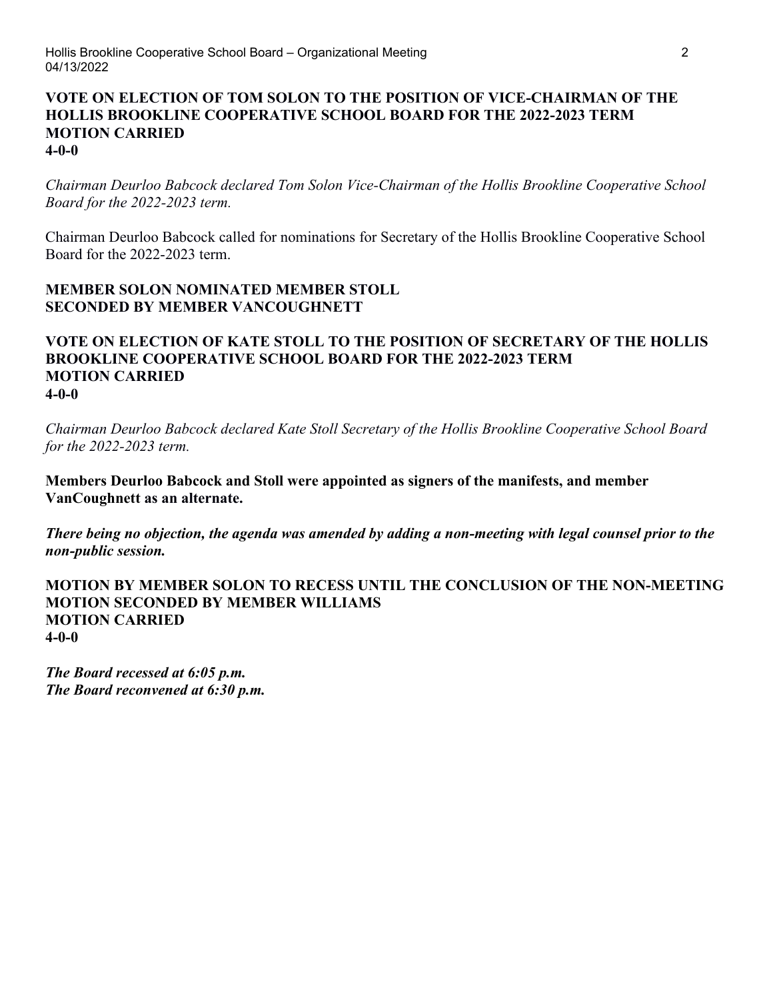#### **VOTE ON ELECTION OF TOM SOLON TO THE POSITION OF VICE-CHAIRMAN OF THE HOLLIS BROOKLINE COOPERATIVE SCHOOL BOARD FOR THE 2022-2023 TERM MOTION CARRIED 4-0-0**

*Chairman Deurloo Babcock declared Tom Solon Vice-Chairman of the Hollis Brookline Cooperative School Board for the 2022-2023 term.*

Chairman Deurloo Babcock called for nominations for Secretary of the Hollis Brookline Cooperative School Board for the 2022-2023 term.

### **MEMBER SOLON NOMINATED MEMBER STOLL SECONDED BY MEMBER VANCOUGHNETT**

#### **VOTE ON ELECTION OF KATE STOLL TO THE POSITION OF SECRETARY OF THE HOLLIS BROOKLINE COOPERATIVE SCHOOL BOARD FOR THE 2022-2023 TERM MOTION CARRIED 4-0-0**

*Chairman Deurloo Babcock declared Kate Stoll Secretary of the Hollis Brookline Cooperative School Board for the 2022-2023 term.*

**Members Deurloo Babcock and Stoll were appointed as signers of the manifests, and member VanCoughnett as an alternate.**

*There being no objection, the agenda was amended by adding a non-meeting with legal counsel prior to the non-public session.*

**MOTION BY MEMBER SOLON TO RECESS UNTIL THE CONCLUSION OF THE NON-MEETING MOTION SECONDED BY MEMBER WILLIAMS MOTION CARRIED 4-0-0**

*The Board recessed at 6:05 p.m. The Board reconvened at 6:30 p.m.*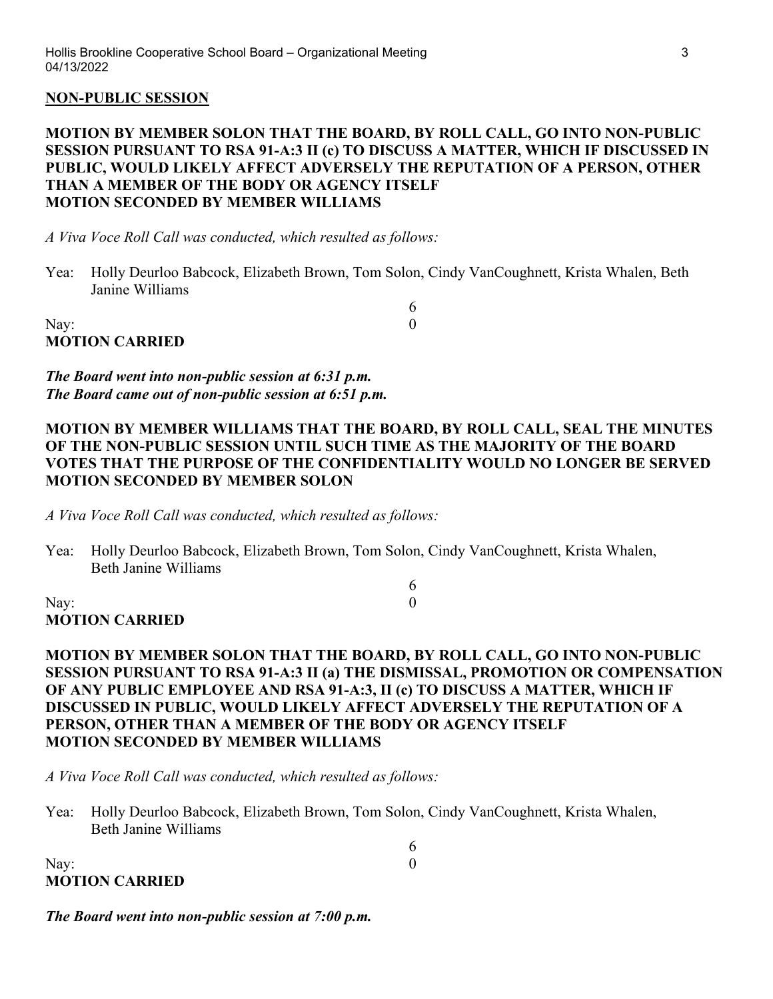#### **NON-PUBLIC SESSION**

#### **MOTION BY MEMBER SOLON THAT THE BOARD, BY ROLL CALL, GO INTO NON-PUBLIC SESSION PURSUANT TO RSA 91-A:3 II (c) TO DISCUSS A MATTER, WHICH IF DISCUSSED IN PUBLIC, WOULD LIKELY AFFECT ADVERSELY THE REPUTATION OF A PERSON, OTHER THAN A MEMBER OF THE BODY OR AGENCY ITSELF MOTION SECONDED BY MEMBER WILLIAMS**

*A Viva Voce Roll Call was conducted, which resulted as follows:*

Yea: Holly Deurloo Babcock, Elizabeth Brown, Tom Solon, Cindy VanCoughnett, Krista Whalen, Beth Janine Williams

6

6

6

Nay:  $0$ **MOTION CARRIED**

*The Board went into non-public session at 6:31 p.m. The Board came out of non-public session at 6:51 p.m.*

#### **MOTION BY MEMBER WILLIAMS THAT THE BOARD, BY ROLL CALL, SEAL THE MINUTES OF THE NON-PUBLIC SESSION UNTIL SUCH TIME AS THE MAJORITY OF THE BOARD VOTES THAT THE PURPOSE OF THE CONFIDENTIALITY WOULD NO LONGER BE SERVED MOTION SECONDED BY MEMBER SOLON**

*A Viva Voce Roll Call was conducted, which resulted as follows:*

Yea: Holly Deurloo Babcock, Elizabeth Brown, Tom Solon, Cindy VanCoughnett, Krista Whalen, Beth Janine Williams

Nay:  $0$ **MOTION CARRIED**

### **MOTION BY MEMBER SOLON THAT THE BOARD, BY ROLL CALL, GO INTO NON-PUBLIC SESSION PURSUANT TO RSA 91-A:3 II (a) THE DISMISSAL, PROMOTION OR COMPENSATION OF ANY PUBLIC EMPLOYEE AND RSA 91-A:3, II (c) TO DISCUSS A MATTER, WHICH IF DISCUSSED IN PUBLIC, WOULD LIKELY AFFECT ADVERSELY THE REPUTATION OF A PERSON, OTHER THAN A MEMBER OF THE BODY OR AGENCY ITSELF MOTION SECONDED BY MEMBER WILLIAMS**

*A Viva Voce Roll Call was conducted, which resulted as follows:*

Yea: Holly Deurloo Babcock, Elizabeth Brown, Tom Solon, Cindy VanCoughnett, Krista Whalen, Beth Janine Williams

| Nay:                  |  |
|-----------------------|--|
| <b>MOTION CARRIED</b> |  |

#### *The Board went into non-public session at 7:00 p.m.*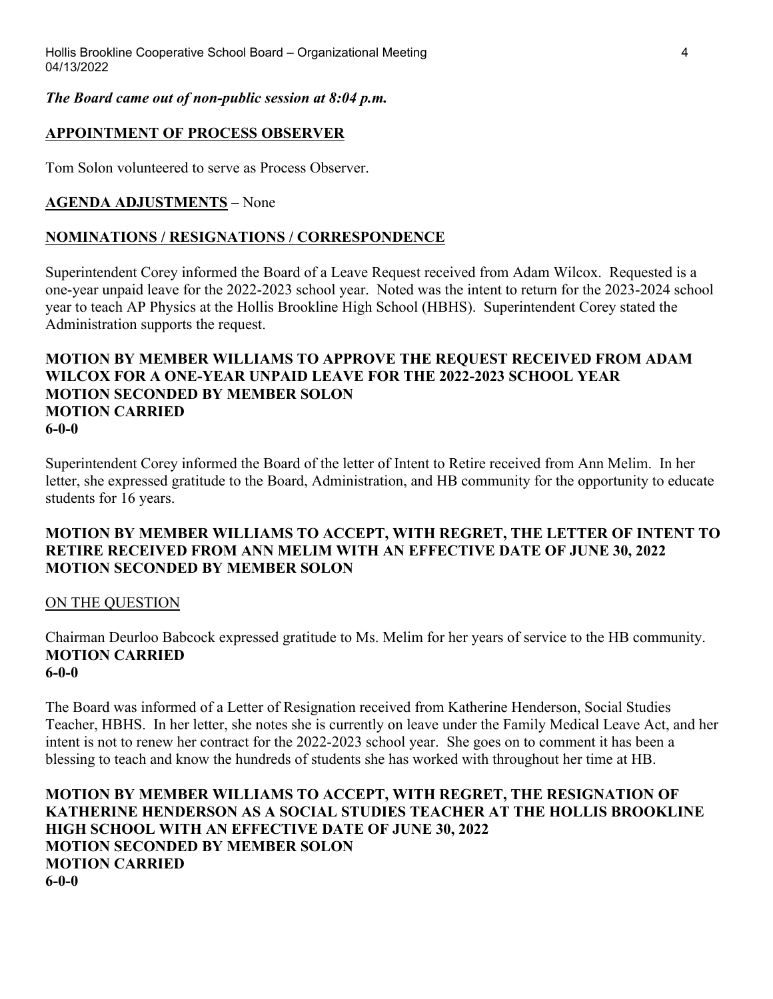### *The Board came out of non-public session at 8:04 p.m.*

# **APPOINTMENT OF PROCESS OBSERVER**

Tom Solon volunteered to serve as Process Observer.

# **AGENDA ADJUSTMENTS** – None

# **NOMINATIONS / RESIGNATIONS / CORRESPONDENCE**

Superintendent Corey informed the Board of a Leave Request received from Adam Wilcox. Requested is a one-year unpaid leave for the 2022-2023 school year. Noted was the intent to return for the 2023-2024 school year to teach AP Physics at the Hollis Brookline High School (HBHS). Superintendent Corey stated the Administration supports the request.

#### **MOTION BY MEMBER WILLIAMS TO APPROVE THE REQUEST RECEIVED FROM ADAM WILCOX FOR A ONE-YEAR UNPAID LEAVE FOR THE 2022-2023 SCHOOL YEAR MOTION SECONDED BY MEMBER SOLON MOTION CARRIED 6-0-0**

Superintendent Corey informed the Board of the letter of Intent to Retire received from Ann Melim. In her letter, she expressed gratitude to the Board, Administration, and HB community for the opportunity to educate students for 16 years.

# **MOTION BY MEMBER WILLIAMS TO ACCEPT, WITH REGRET, THE LETTER OF INTENT TO RETIRE RECEIVED FROM ANN MELIM WITH AN EFFECTIVE DATE OF JUNE 30, 2022 MOTION SECONDED BY MEMBER SOLON**

# ON THE QUESTION

Chairman Deurloo Babcock expressed gratitude to Ms. Melim for her years of service to the HB community. **MOTION CARRIED 6-0-0**

The Board was informed of a Letter of Resignation received from Katherine Henderson, Social Studies Teacher, HBHS. In her letter, she notes she is currently on leave under the Family Medical Leave Act, and her intent is not to renew her contract for the 2022-2023 school year. She goes on to comment it has been a blessing to teach and know the hundreds of students she has worked with throughout her time at HB.

### **MOTION BY MEMBER WILLIAMS TO ACCEPT, WITH REGRET, THE RESIGNATION OF KATHERINE HENDERSON AS A SOCIAL STUDIES TEACHER AT THE HOLLIS BROOKLINE HIGH SCHOOL WITH AN EFFECTIVE DATE OF JUNE 30, 2022 MOTION SECONDED BY MEMBER SOLON MOTION CARRIED 6-0-0**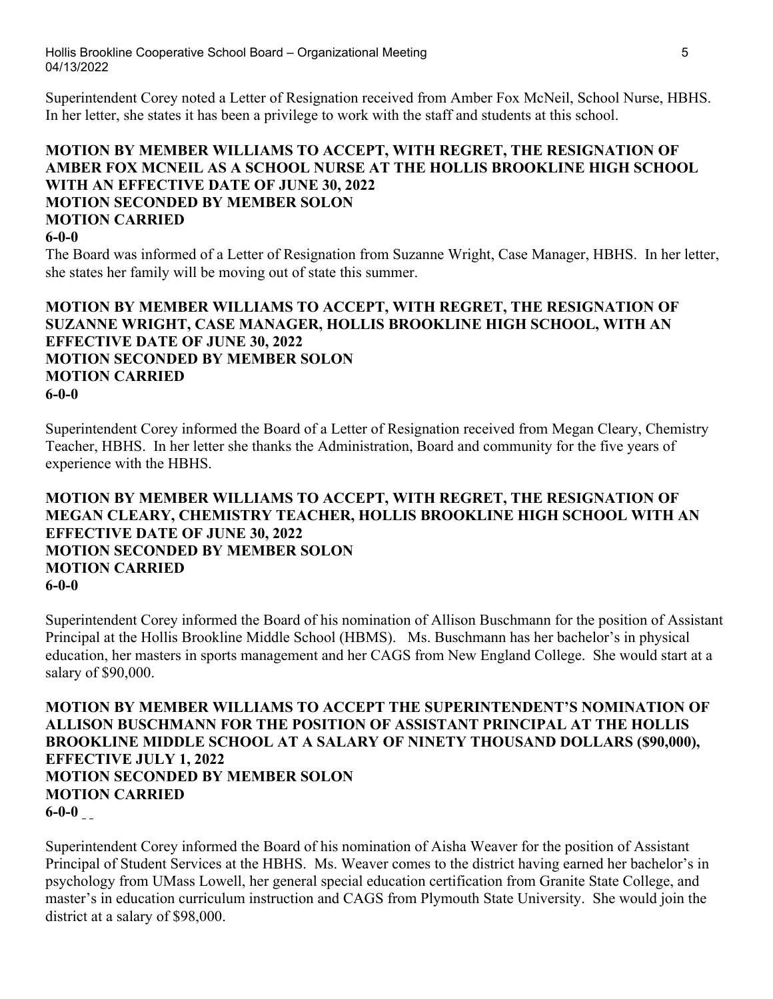Superintendent Corey noted a Letter of Resignation received from Amber Fox McNeil, School Nurse, HBHS. In her letter, she states it has been a privilege to work with the staff and students at this school.

# **MOTION BY MEMBER WILLIAMS TO ACCEPT, WITH REGRET, THE RESIGNATION OF AMBER FOX MCNEIL AS A SCHOOL NURSE AT THE HOLLIS BROOKLINE HIGH SCHOOL WITH AN EFFECTIVE DATE OF JUNE 30, 2022 MOTION SECONDED BY MEMBER SOLON MOTION CARRIED**

#### **6-0-0**

The Board was informed of a Letter of Resignation from Suzanne Wright, Case Manager, HBHS. In her letter, she states her family will be moving out of state this summer.

### **MOTION BY MEMBER WILLIAMS TO ACCEPT, WITH REGRET, THE RESIGNATION OF SUZANNE WRIGHT, CASE MANAGER, HOLLIS BROOKLINE HIGH SCHOOL, WITH AN EFFECTIVE DATE OF JUNE 30, 2022 MOTION SECONDED BY MEMBER SOLON MOTION CARRIED 6-0-0**

Superintendent Corey informed the Board of a Letter of Resignation received from Megan Cleary, Chemistry Teacher, HBHS. In her letter she thanks the Administration, Board and community for the five years of experience with the HBHS.

#### **MOTION BY MEMBER WILLIAMS TO ACCEPT, WITH REGRET, THE RESIGNATION OF MEGAN CLEARY, CHEMISTRY TEACHER, HOLLIS BROOKLINE HIGH SCHOOL WITH AN EFFECTIVE DATE OF JUNE 30, 2022 MOTION SECONDED BY MEMBER SOLON MOTION CARRIED 6-0-0**

Superintendent Corey informed the Board of his nomination of Allison Buschmann for the position of Assistant Principal at the Hollis Brookline Middle School (HBMS). Ms. Buschmann has her bachelor's in physical education, her masters in sports management and her CAGS from New England College. She would start at a salary of \$90,000.

**MOTION BY MEMBER WILLIAMS TO ACCEPT THE SUPERINTENDENT'S NOMINATION OF ALLISON BUSCHMANN FOR THE POSITION OF ASSISTANT PRINCIPAL AT THE HOLLIS BROOKLINE MIDDLE SCHOOL AT A SALARY OF NINETY THOUSAND DOLLARS (\$90,000), EFFECTIVE JULY 1, 2022 MOTION SECONDED BY MEMBER SOLON MOTION CARRIED 6-0-0** 

Superintendent Corey informed the Board of his nomination of Aisha Weaver for the position of Assistant Principal of Student Services at the HBHS. Ms. Weaver comes to the district having earned her bachelor's in psychology from UMass Lowell, her general special education certification from Granite State College, and master's in education curriculum instruction and CAGS from Plymouth State University. She would join the district at a salary of \$98,000.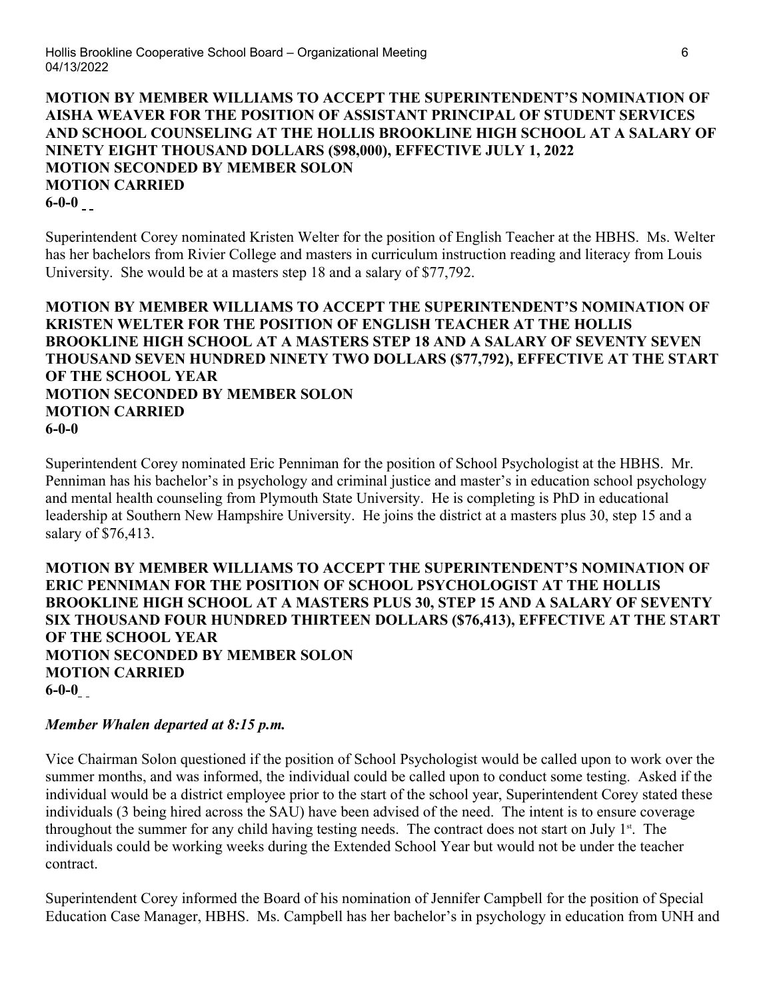**MOTION BY MEMBER WILLIAMS TO ACCEPT THE SUPERINTENDENT'S NOMINATION OF AISHA WEAVER FOR THE POSITION OF ASSISTANT PRINCIPAL OF STUDENT SERVICES AND SCHOOL COUNSELING AT THE HOLLIS BROOKLINE HIGH SCHOOL AT A SALARY OF NINETY EIGHT THOUSAND DOLLARS (\$98,000), EFFECTIVE JULY 1, 2022 MOTION SECONDED BY MEMBER SOLON MOTION CARRIED 6-0-0** 

Superintendent Corey nominated Kristen Welter for the position of English Teacher at the HBHS. Ms. Welter has her bachelors from Rivier College and masters in curriculum instruction reading and literacy from Louis University. She would be at a masters step 18 and a salary of \$77,792.

### **MOTION BY MEMBER WILLIAMS TO ACCEPT THE SUPERINTENDENT'S NOMINATION OF KRISTEN WELTER FOR THE POSITION OF ENGLISH TEACHER AT THE HOLLIS BROOKLINE HIGH SCHOOL AT A MASTERS STEP 18 AND A SALARY OF SEVENTY SEVEN THOUSAND SEVEN HUNDRED NINETY TWO DOLLARS (\$77,792), EFFECTIVE AT THE START OF THE SCHOOL YEAR MOTION SECONDED BY MEMBER SOLON MOTION CARRIED 6-0-0**

Superintendent Corey nominated Eric Penniman for the position of School Psychologist at the HBHS. Mr. Penniman has his bachelor's in psychology and criminal justice and master's in education school psychology and mental health counseling from Plymouth State University. He is completing is PhD in educational leadership at Southern New Hampshire University. He joins the district at a masters plus 30, step 15 and a salary of \$76,413.

### **MOTION BY MEMBER WILLIAMS TO ACCEPT THE SUPERINTENDENT'S NOMINATION OF ERIC PENNIMAN FOR THE POSITION OF SCHOOL PSYCHOLOGIST AT THE HOLLIS BROOKLINE HIGH SCHOOL AT A MASTERS PLUS 30, STEP 15 AND A SALARY OF SEVENTY SIX THOUSAND FOUR HUNDRED THIRTEEN DOLLARS (\$76,413), EFFECTIVE AT THE START OF THE SCHOOL YEAR MOTION SECONDED BY MEMBER SOLON MOTION CARRIED 6-0-0**

# *Member Whalen departed at 8:15 p.m.*

Vice Chairman Solon questioned if the position of School Psychologist would be called upon to work over the summer months, and was informed, the individual could be called upon to conduct some testing. Asked if the individual would be a district employee prior to the start of the school year, Superintendent Corey stated these individuals (3 being hired across the SAU) have been advised of the need. The intent is to ensure coverage throughout the summer for any child having testing needs. The contract does not start on July  $1<sup>st</sup>$ . The individuals could be working weeks during the Extended School Year but would not be under the teacher contract.

Superintendent Corey informed the Board of his nomination of Jennifer Campbell for the position of Special Education Case Manager, HBHS. Ms. Campbell has her bachelor's in psychology in education from UNH and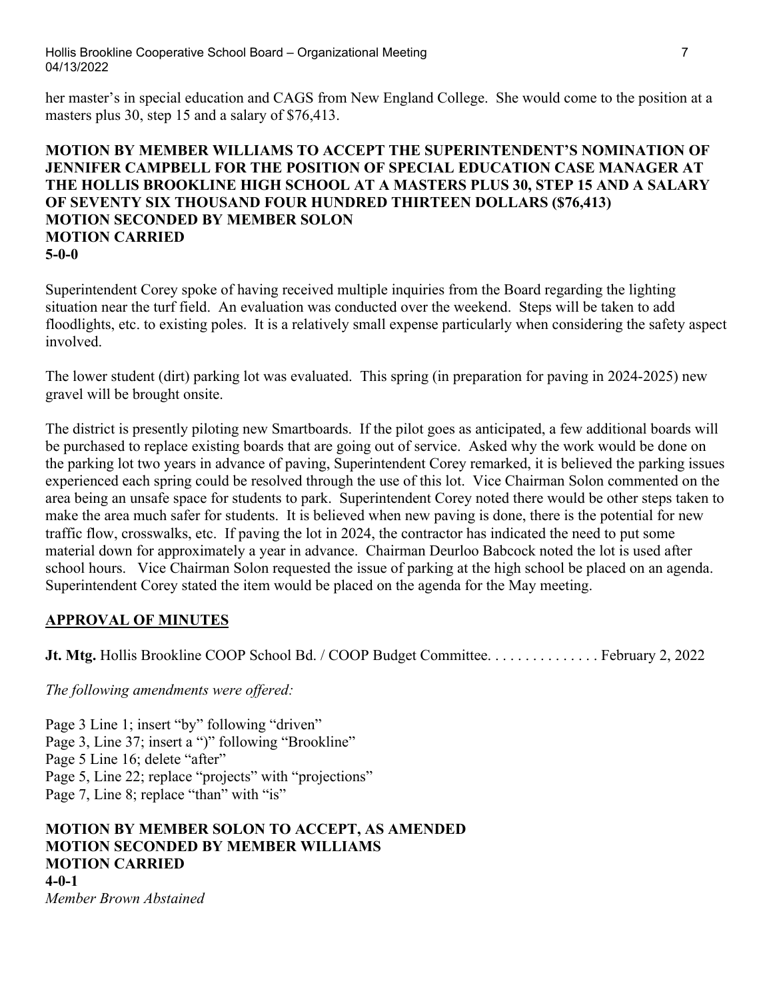Hollis Brookline Cooperative School Board – Organizational Meeting 7 7 04/13/2022

her master's in special education and CAGS from New England College. She would come to the position at a masters plus 30, step 15 and a salary of \$76,413.

### **MOTION BY MEMBER WILLIAMS TO ACCEPT THE SUPERINTENDENT'S NOMINATION OF JENNIFER CAMPBELL FOR THE POSITION OF SPECIAL EDUCATION CASE MANAGER AT THE HOLLIS BROOKLINE HIGH SCHOOL AT A MASTERS PLUS 30, STEP 15 AND A SALARY OF SEVENTY SIX THOUSAND FOUR HUNDRED THIRTEEN DOLLARS (\$76,413) MOTION SECONDED BY MEMBER SOLON MOTION CARRIED 5-0-0**

Superintendent Corey spoke of having received multiple inquiries from the Board regarding the lighting situation near the turf field. An evaluation was conducted over the weekend. Steps will be taken to add floodlights, etc. to existing poles. It is a relatively small expense particularly when considering the safety aspect involved.

The lower student (dirt) parking lot was evaluated. This spring (in preparation for paving in 2024-2025) new gravel will be brought onsite.

The district is presently piloting new Smartboards. If the pilot goes as anticipated, a few additional boards will be purchased to replace existing boards that are going out of service. Asked why the work would be done on the parking lot two years in advance of paving, Superintendent Corey remarked, it is believed the parking issues experienced each spring could be resolved through the use of this lot. Vice Chairman Solon commented on the area being an unsafe space for students to park. Superintendent Corey noted there would be other steps taken to make the area much safer for students. It is believed when new paving is done, there is the potential for new traffic flow, crosswalks, etc. If paving the lot in 2024, the contractor has indicated the need to put some material down for approximately a year in advance. Chairman Deurloo Babcock noted the lot is used after school hours. Vice Chairman Solon requested the issue of parking at the high school be placed on an agenda. Superintendent Corey stated the item would be placed on the agenda for the May meeting.

# **APPROVAL OF MINUTES**

**Jt. Mtg.** Hollis Brookline COOP School Bd. / COOP Budget Committee. . . . . . . . . . . . . . . . February 2, 2022

*The following amendments were offered:*

Page 3 Line 1; insert "by" following "driven" Page 3, Line 37; insert a ")" following "Brookline" Page 5 Line 16; delete "after" Page 5, Line 22; replace "projects" with "projections" Page 7, Line 8; replace "than" with "is"

# **MOTION BY MEMBER SOLON TO ACCEPT, AS AMENDED MOTION SECONDED BY MEMBER WILLIAMS MOTION CARRIED 4-0-1**

*Member Brown Abstained*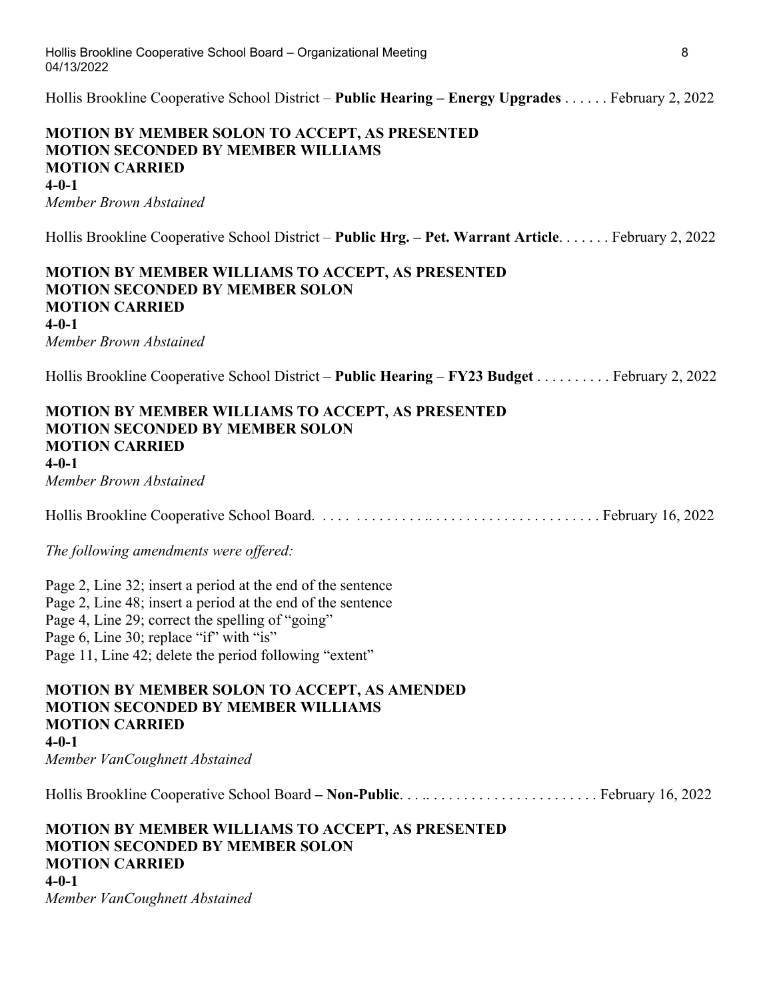Hollis Brookline Cooperative School District – **Public Hearing – Energy Upgrades** . . . . . . February 2, 2022

| MOTION BY MEMBER SOLON TO ACCEPT, AS PRESENTED<br><b>MOTION SECONDED BY MEMBER WILLIAMS</b><br><b>MOTION CARRIED</b><br>$4 - 0 - 1$                                                                                                                                                 |
|-------------------------------------------------------------------------------------------------------------------------------------------------------------------------------------------------------------------------------------------------------------------------------------|
| Member Brown Abstained                                                                                                                                                                                                                                                              |
| Hollis Brookline Cooperative School District – Public Hrg. – Pet. Warrant Article. February 2, 2022                                                                                                                                                                                 |
| MOTION BY MEMBER WILLIAMS TO ACCEPT, AS PRESENTED<br><b>MOTION SECONDED BY MEMBER SOLON</b><br><b>MOTION CARRIED</b><br>$4 - 0 - 1$<br>Member Brown Abstained                                                                                                                       |
| Hollis Brookline Cooperative School District – Public Hearing – FY23 Budget February 2, 2022                                                                                                                                                                                        |
| <b>MOTION BY MEMBER WILLIAMS TO ACCEPT, AS PRESENTED</b><br><b>MOTION SECONDED BY MEMBER SOLON</b><br><b>MOTION CARRIED</b><br>$4 - 0 - 1$<br>Member Brown Abstained                                                                                                                |
|                                                                                                                                                                                                                                                                                     |
| The following amendments were offered:                                                                                                                                                                                                                                              |
| Page 2, Line 32; insert a period at the end of the sentence<br>Page 2, Line 48; insert a period at the end of the sentence<br>Page 4, Line 29; correct the spelling of "going"<br>Page 6, Line 30; replace "if" with "is"<br>Page 11, Line 42; delete the period following "extent" |
| MOTION BY MEMBER SOLON TO ACCEPT, AS AMENDED<br><b>MOTION SECONDED BY MEMBER WILLIAMS</b><br><b>MOTION CARRIED</b><br>$4 - 0 - 1$<br>Member VanCoughnett Abstained                                                                                                                  |
|                                                                                                                                                                                                                                                                                     |
| <b>MOTION BY MEMBER WILLIAMS TO ACCEPT, AS PRESENTED</b><br><b>MOTION SECONDED BY MEMBER SOLON</b><br><b>MOTION CARRIED</b><br>$4 - 0 - 1$                                                                                                                                          |
| $M$ and an $U$ and $C$ angles at the stain of                                                                                                                                                                                                                                       |

*Member VanCoughnett Abstained*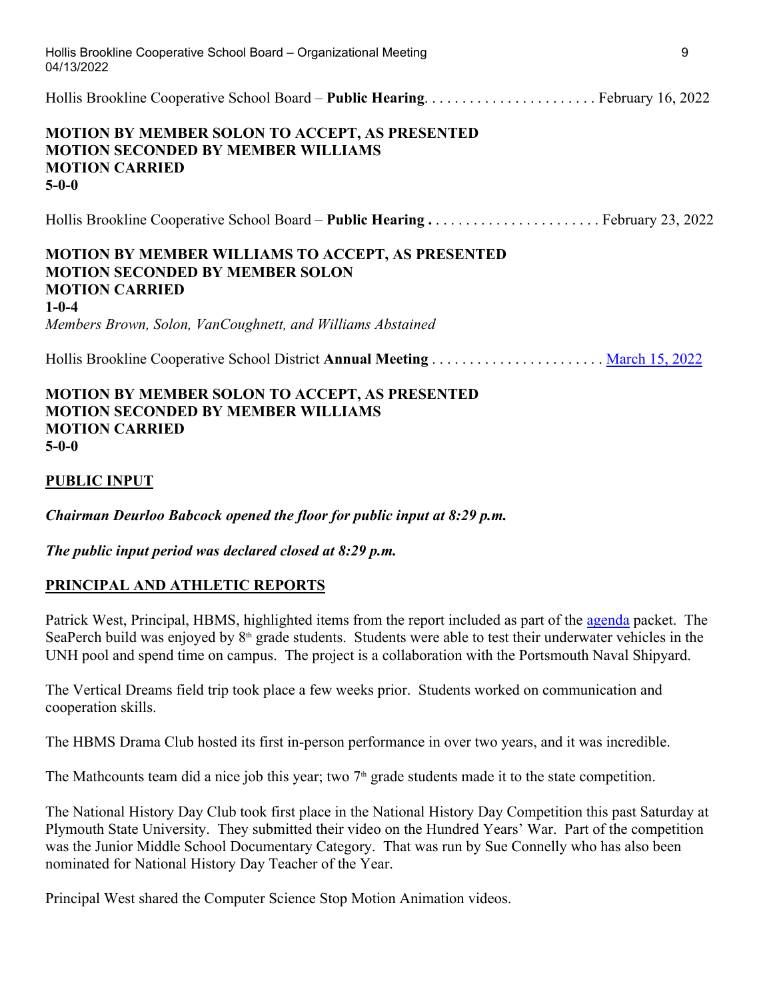| Hollis Brookline Cooperative School Board - Organizational Meeting<br>04/13/2022                                                                                                                         | 9 |
|----------------------------------------------------------------------------------------------------------------------------------------------------------------------------------------------------------|---|
|                                                                                                                                                                                                          |   |
| <b>MOTION BY MEMBER SOLON TO ACCEPT, AS PRESENTED</b><br><b>MOTION SECONDED BY MEMBER WILLIAMS</b><br><b>MOTION CARRIED</b><br>$5-0-0$                                                                   |   |
|                                                                                                                                                                                                          |   |
| <b>MOTION BY MEMBER WILLIAMS TO ACCEPT, AS PRESENTED</b><br><b>MOTION SECONDED BY MEMBER SOLON</b><br><b>MOTION CARRIED</b><br>$1 - 0 - 4$<br>Members Brown, Solon, VanCoughnett, and Williams Abstained |   |
| Hollis Brookline Cooperative School District Annual Meeting  March 15, 2022                                                                                                                              |   |
| <b>MOTION BY MEMBER SOLON TO ACCEPT, AS PRESENTED</b><br><b>MOTION SECONDED BY MEMBER WILLIAMS</b>                                                                                                       |   |

**5-0-0**

#### **PUBLIC INPUT**

**MOTION CARRIED**

*Chairman Deurloo Babcock opened the floor for public input at 8:29 p.m.*

*The public input period was declared closed at 8:29 p.m.*

#### **PRINCIPAL AND ATHLETIC REPORTS**

Patrick West, Principal, HBMS, highlighted items from the report included as part of the agenda packet. The SeaPerch build was enjoyed by 8<sup>th</sup> grade students. Students were able to test their underwater vehicles in the UNH pool and spend time on campus. The project is a collaboration with the Portsmouth Naval Shipyard.

The Vertical Dreams field trip took place a few weeks prior. Students worked on communication and cooperation skills.

The HBMS Drama Club hosted its first in-person performance in over two years, and it was incredible.

The Mathcounts team did a nice job this year; two  $7<sup>th</sup>$  grade students made it to the state competition.

The National History Day Club took first place in the National History Day Competition this past Saturday at Plymouth State University. They submitted their video on the Hundred Years' War. Part of the competition was the Junior Middle School Documentary Category. That was run by Sue Connelly who has also been nominated for National History Day Teacher of the Year.

Principal West shared the Computer Science Stop Motion Animation videos.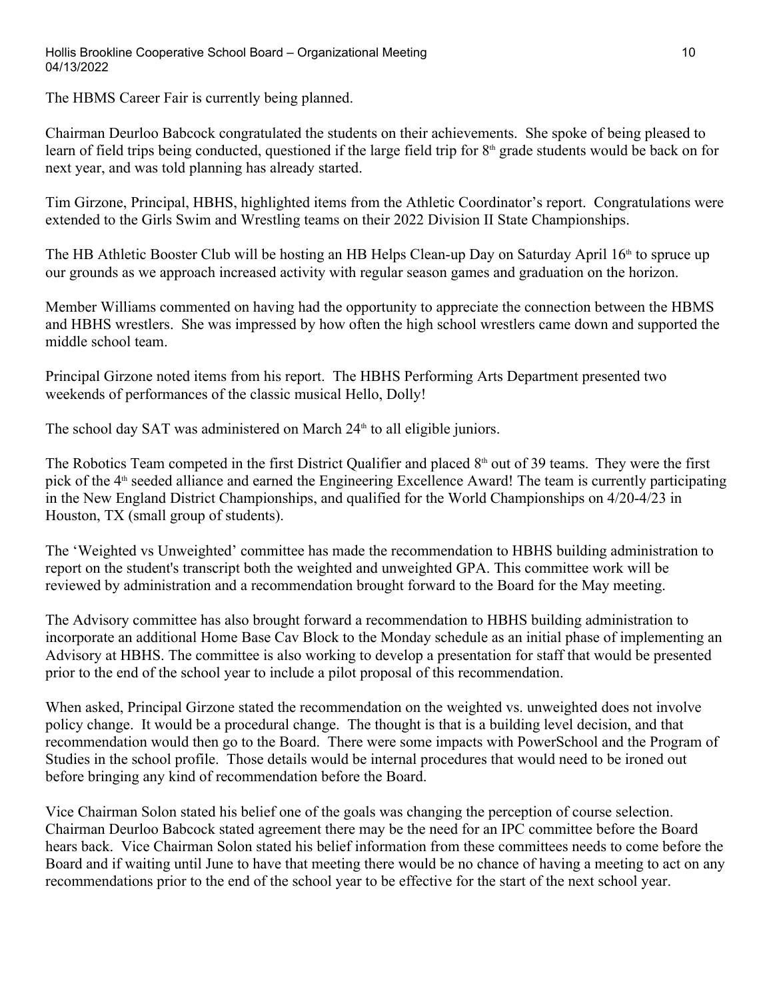The HBMS Career Fair is currently being planned.

Chairman Deurloo Babcock congratulated the students on their achievements. She spoke of being pleased to learn of field trips being conducted, questioned if the large field trip for 8<sup>th</sup> grade students would be back on for next year, and was told planning has already started.

Tim Girzone, Principal, HBHS, highlighted items from the Athletic Coordinator's report. Congratulations were extended to the Girls Swim and Wrestling teams on their 2022 Division II State Championships.

The HB Athletic Booster Club will be hosting an HB Helps Clean-up Day on Saturday April 16<sup>th</sup> to spruce up our grounds as we approach increased activity with regular season games and graduation on the horizon.

Member Williams commented on having had the opportunity to appreciate the connection between the HBMS and HBHS wrestlers. She was impressed by how often the high school wrestlers came down and supported the middle school team.

Principal Girzone noted items from his report. The HBHS Performing Arts Department presented two weekends of performances of the classic musical Hello, Dolly!

The school day SAT was administered on March  $24<sup>th</sup>$  to all eligible juniors.

The Robotics Team competed in the first District Qualifier and placed  $8<sup>th</sup>$  out of 39 teams. They were the first pick of the 4<sup>th</sup> seeded alliance and earned the Engineering Excellence Award! The team is currently participating in the New England District Championships, and qualified for the World Championships on 4/20-4/23 in Houston, TX (small group of students).

The 'Weighted vs Unweighted' committee has made the recommendation to HBHS building administration to report on the student's transcript both the weighted and unweighted GPA. This committee work will be reviewed by administration and a recommendation brought forward to the Board for the May meeting.

The Advisory committee has also brought forward a recommendation to HBHS building administration to incorporate an additional Home Base Cav Block to the Monday schedule as an initial phase of implementing an Advisory at HBHS. The committee is also working to develop a presentation for staff that would be presented prior to the end of the school year to include a pilot proposal of this recommendation.

When asked, Principal Girzone stated the recommendation on the weighted vs. unweighted does not involve policy change. It would be a procedural change. The thought is that is a building level decision, and that recommendation would then go to the Board. There were some impacts with PowerSchool and the Program of Studies in the school profile. Those details would be internal procedures that would need to be ironed out before bringing any kind of recommendation before the Board.

Vice Chairman Solon stated his belief one of the goals was changing the perception of course selection. Chairman Deurloo Babcock stated agreement there may be the need for an IPC committee before the Board hears back. Vice Chairman Solon stated his belief information from these committees needs to come before the Board and if waiting until June to have that meeting there would be no chance of having a meeting to act on any recommendations prior to the end of the school year to be effective for the start of the next school year.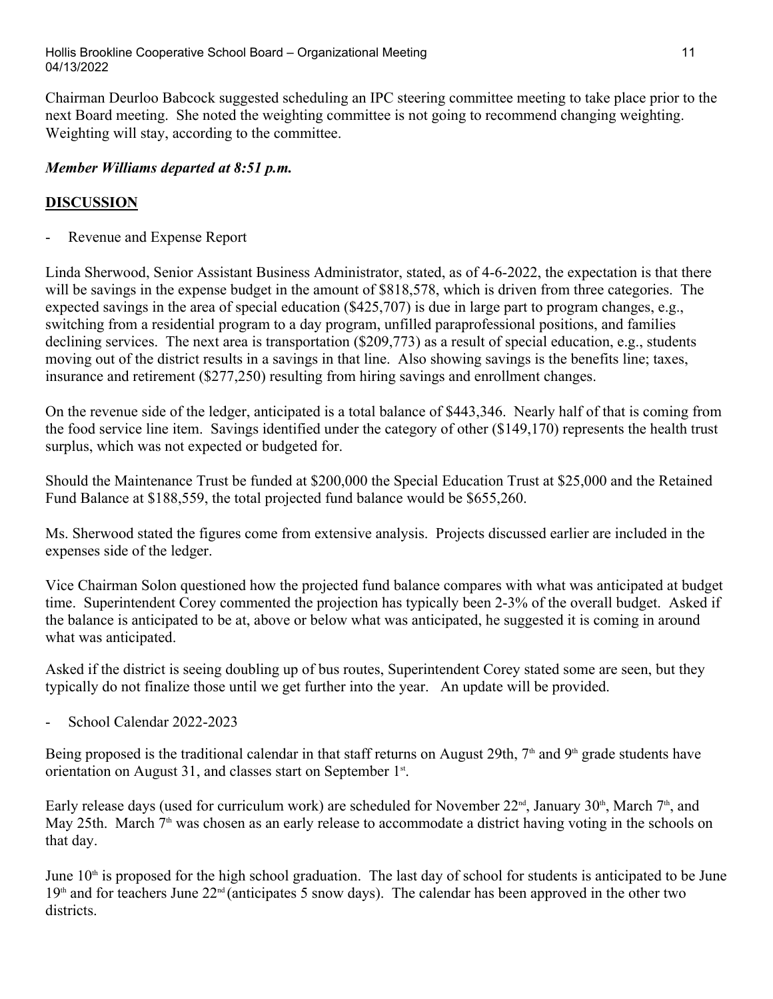Chairman Deurloo Babcock suggested scheduling an IPC steering committee meeting to take place prior to the next Board meeting. She noted the weighting committee is not going to recommend changing weighting. Weighting will stay, according to the committee.

# *Member Williams departed at 8:51 p.m.*

# **DISCUSSION**

Revenue and Expense Report

Linda Sherwood, Senior Assistant Business Administrator, stated, as of 4-6-2022, the expectation is that there will be savings in the expense budget in the amount of \$818,578, which is driven from three categories. The expected savings in the area of special education (\$425,707) is due in large part to program changes, e.g., switching from a residential program to a day program, unfilled paraprofessional positions, and families declining services. The next area is transportation (\$209,773) as a result of special education, e.g., students moving out of the district results in a savings in that line. Also showing savings is the benefits line; taxes, insurance and retirement (\$277,250) resulting from hiring savings and enrollment changes.

On the revenue side of the ledger, anticipated is a total balance of \$443,346. Nearly half of that is coming from the food service line item. Savings identified under the category of other (\$149,170) represents the health trust surplus, which was not expected or budgeted for.

Should the Maintenance Trust be funded at \$200,000 the Special Education Trust at \$25,000 and the Retained Fund Balance at \$188,559, the total projected fund balance would be \$655,260.

Ms. Sherwood stated the figures come from extensive analysis. Projects discussed earlier are included in the expenses side of the ledger.

Vice Chairman Solon questioned how the projected fund balance compares with what was anticipated at budget time. Superintendent Corey commented the projection has typically been 2-3% of the overall budget. Asked if the balance is anticipated to be at, above or below what was anticipated, he suggested it is coming in around what was anticipated.

Asked if the district is seeing doubling up of bus routes, Superintendent Corey stated some are seen, but they typically do not finalize those until we get further into the year. An update will be provided. - School Calendar 2022-2023

Being proposed is the traditional calendar in that staff returns on August 29th,  $7<sup>th</sup>$  and 9<sup>th</sup> grade students have orientation on August 31, and classes start on September 1<sup>st</sup>.<br>Early release days (used for curriculum work) are scheduled for November 22<sup>nd</sup>, January 30<sup>th</sup>, March 7<sup>th</sup>, and

May 25th. March  $7<sup>th</sup>$  was chosen as an early release to accommodate a district having voting in the schools on that day.

June  $10<sup>th</sup>$  is proposed for the high school graduation. The last day of school for students is anticipated to be June  $19<sup>th</sup>$  and for teachers June  $22<sup>nd</sup>$  (anticipates 5 snow days). The calendar has been approved in the other two districts.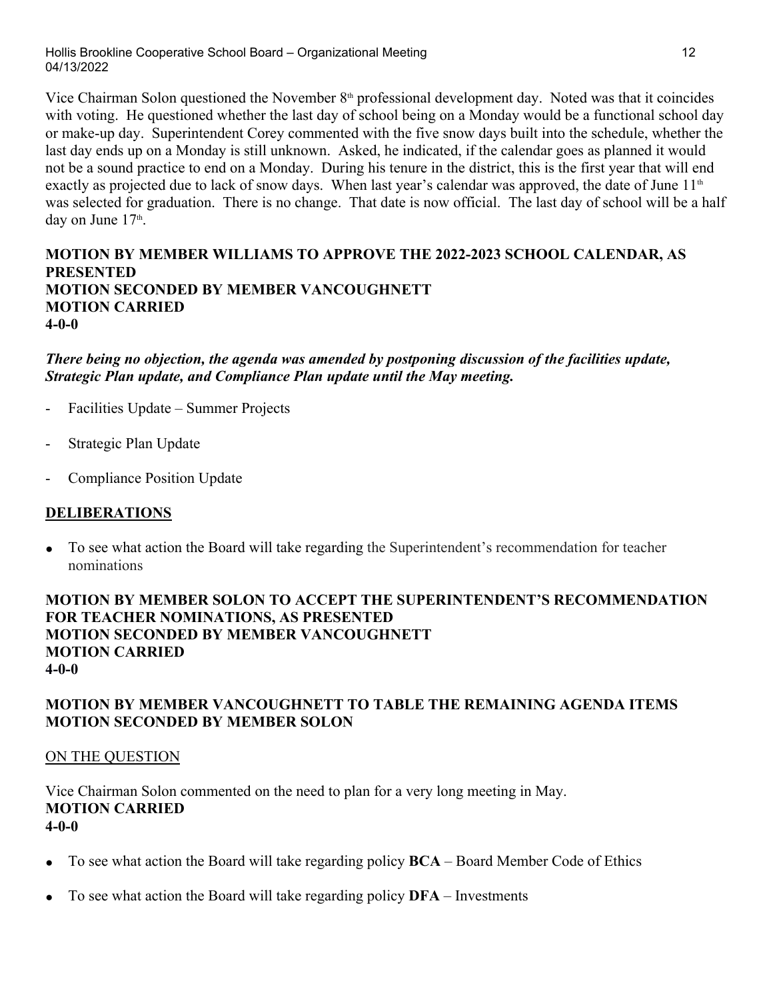Hollis Brookline Cooperative School Board – Organizational Meeting 12 04/13/2022

Vice Chairman Solon questioned the November  $8<sup>th</sup>$  professional development day. Noted was that it coincides with voting. He questioned whether the last day of school being on a Monday would be a functional school day or make-up day. Superintendent Corey commented with the five snow days built into the schedule, whether the last day ends up on a Monday is still unknown. Asked, he indicated, if the calendar goes as planned it would not be a sound practice to end on a Monday. During his tenure in the district, this is the first year that will end exactly as projected due to lack of snow days. When last year's calendar was approved, the date of June 11<sup>th</sup> was selected for graduation. There is no change. That date is now official. The last day of school will be a half day on June 17<sup>th</sup>. .

### **MOTION BY MEMBER WILLIAMS TO APPROVE THE 2022-2023 SCHOOL CALENDAR, AS PRESENTED MOTION SECONDED BY MEMBER VANCOUGHNETT MOTION CARRIED 4-0-0**

### *There being no objection, the agenda was amended by postponing discussion of the facilities update, Strategic Plan update, and Compliance Plan update until the May meeting.*

- Facilities Update Summer Projects
- Strategic Plan Update
- Compliance Position Update

#### **DELIBERATIONS**

**●** To see what action the Board will take regarding the Superintendent's recommendation for teacher nominations

#### **MOTION BY MEMBER SOLON TO ACCEPT THE SUPERINTENDENT'S RECOMMENDATION FOR TEACHER NOMINATIONS, AS PRESENTED MOTION SECONDED BY MEMBER VANCOUGHNETT MOTION CARRIED 4-0-0**

# **MOTION BY MEMBER VANCOUGHNETT TO TABLE THE REMAINING AGENDA ITEMS MOTION SECONDED BY MEMBER SOLON**

#### ON THE QUESTION

Vice Chairman Solon commented on the need to plan for a very long meeting in May. **MOTION CARRIED 4-0-0**

- To see what action the Board will take regarding policy **BCA** Board Member Code of Ethics
- To see what action the Board will take regarding policy **DFA** Investments